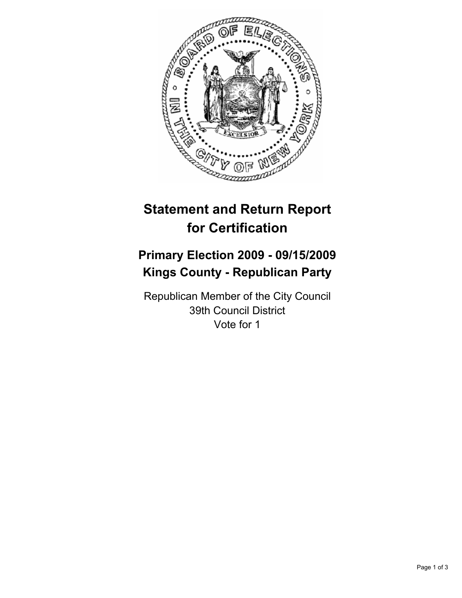

# **Statement and Return Report for Certification**

# **Primary Election 2009 - 09/15/2009 Kings County - Republican Party**

Republican Member of the City Council 39th Council District Vote for 1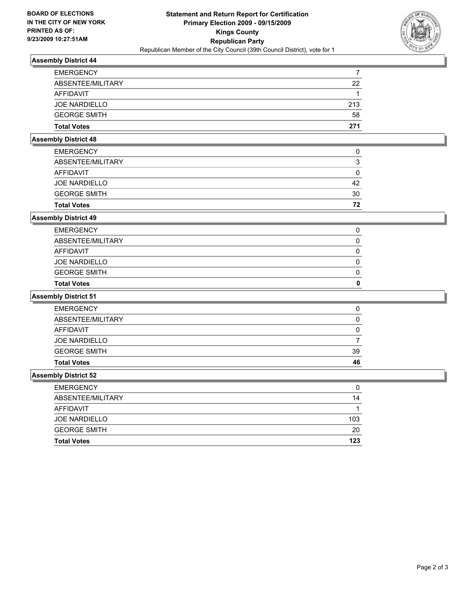

## **Assembly District 44**

| <b>Total Votes</b>   | 271 |
|----------------------|-----|
| <b>GEORGE SMITH</b>  | 58  |
| <b>JOE NARDIELLO</b> | 213 |
| AFFIDAVIT            |     |
| ABSENTEE/MILITARY    | 22  |
| <b>EMERGENCY</b>     |     |

### **Assembly District 48**

| <b>Total Votes</b>   | 72 |
|----------------------|----|
| <b>GEORGE SMITH</b>  | 30 |
| <b>JOE NARDIELLO</b> | 42 |
| AFFIDAVIT            | 0  |
| ABSENTEE/MILITARY    | 3  |
| <b>EMERGENCY</b>     | 0  |
|                      |    |

### **Assembly District 49**

| <b>Total Votes</b>   | 0 |
|----------------------|---|
| <b>GEORGE SMITH</b>  | 0 |
| <b>JOE NARDIELLO</b> | 0 |
| AFFIDAVIT            | 0 |
| ABSENTEE/MILITARY    | 0 |
| <b>EMERGENCY</b>     | 0 |
|                      |   |

#### **Assembly District 51**

| <b>EMERGENCY</b>     | 0  |
|----------------------|----|
| ABSENTEE/MILITARY    | 0  |
| AFFIDAVIT            | 0  |
| <b>JOE NARDIELLO</b> |    |
| <b>GEORGE SMITH</b>  | 39 |
| <b>Total Votes</b>   | 46 |

#### **Assembly District 52**

| <b>Total Votes</b>   | 123 |
|----------------------|-----|
| <b>GEORGE SMITH</b>  | 20  |
| <b>JOE NARDIELLO</b> | 103 |
| AFFIDAVIT            |     |
| ABSENTEE/MILITARY    | 14  |
| <b>EMERGENCY</b>     | 0   |